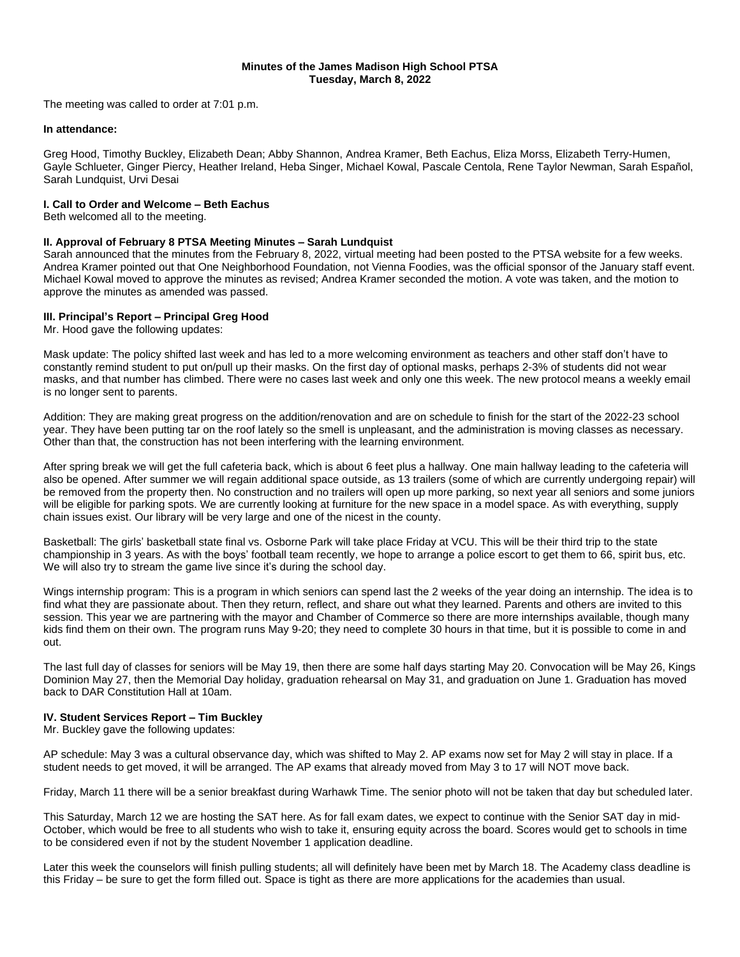# **Minutes of the James Madison High School PTSA Tuesday, March 8, 2022**

The meeting was called to order at 7:01 p.m.

## **In attendance:**

Greg Hood, Timothy Buckley, Elizabeth Dean; Abby Shannon, Andrea Kramer, Beth Eachus, Eliza Morss, Elizabeth Terry-Humen, Gayle Schlueter, Ginger Piercy, Heather Ireland, Heba Singer, Michael Kowal, Pascale Centola, Rene Taylor Newman, Sarah Español, Sarah Lundquist, Urvi Desai

# **I. Call to Order and Welcome – Beth Eachus**

Beth welcomed all to the meeting.

# **II. Approval of February 8 PTSA Meeting Minutes – Sarah Lundquist**

Sarah announced that the minutes from the February 8, 2022, virtual meeting had been posted to the PTSA website for a few weeks. Andrea Kramer pointed out that One Neighborhood Foundation, not Vienna Foodies, was the official sponsor of the January staff event. Michael Kowal moved to approve the minutes as revised; Andrea Kramer seconded the motion. A vote was taken, and the motion to approve the minutes as amended was passed.

# **III. Principal's Report – Principal Greg Hood**

Mr. Hood gave the following updates:

Mask update: The policy shifted last week and has led to a more welcoming environment as teachers and other staff don't have to constantly remind student to put on/pull up their masks. On the first day of optional masks, perhaps 2-3% of students did not wear masks, and that number has climbed. There were no cases last week and only one this week. The new protocol means a weekly email is no longer sent to parents.

Addition: They are making great progress on the addition/renovation and are on schedule to finish for the start of the 2022-23 school year. They have been putting tar on the roof lately so the smell is unpleasant, and the administration is moving classes as necessary. Other than that, the construction has not been interfering with the learning environment.

After spring break we will get the full cafeteria back, which is about 6 feet plus a hallway. One main hallway leading to the cafeteria will also be opened. After summer we will regain additional space outside, as 13 trailers (some of which are currently undergoing repair) will be removed from the property then. No construction and no trailers will open up more parking, so next year all seniors and some juniors will be eligible for parking spots. We are currently looking at furniture for the new space in a model space. As with everything, supply chain issues exist. Our library will be very large and one of the nicest in the county.

Basketball: The girls' basketball state final vs. Osborne Park will take place Friday at VCU. This will be their third trip to the state championship in 3 years. As with the boys' football team recently, we hope to arrange a police escort to get them to 66, spirit bus, etc. We will also try to stream the game live since it's during the school day.

Wings internship program: This is a program in which seniors can spend last the 2 weeks of the year doing an internship. The idea is to find what they are passionate about. Then they return, reflect, and share out what they learned. Parents and others are invited to this session. This year we are partnering with the mayor and Chamber of Commerce so there are more internships available, though many kids find them on their own. The program runs May 9-20; they need to complete 30 hours in that time, but it is possible to come in and out.

The last full day of classes for seniors will be May 19, then there are some half days starting May 20. Convocation will be May 26, Kings Dominion May 27, then the Memorial Day holiday, graduation rehearsal on May 31, and graduation on June 1. Graduation has moved back to DAR Constitution Hall at 10am.

# **IV. Student Services Report – Tim Buckley**

Mr. Buckley gave the following updates:

AP schedule: May 3 was a cultural observance day, which was shifted to May 2. AP exams now set for May 2 will stay in place. If a student needs to get moved, it will be arranged. The AP exams that already moved from May 3 to 17 will NOT move back.

Friday, March 11 there will be a senior breakfast during Warhawk Time. The senior photo will not be taken that day but scheduled later.

This Saturday, March 12 we are hosting the SAT here. As for fall exam dates, we expect to continue with the Senior SAT day in mid-October, which would be free to all students who wish to take it, ensuring equity across the board. Scores would get to schools in time to be considered even if not by the student November 1 application deadline.

Later this week the counselors will finish pulling students; all will definitely have been met by March 18. The Academy class deadline is this Friday – be sure to get the form filled out. Space is tight as there are more applications for the academies than usual.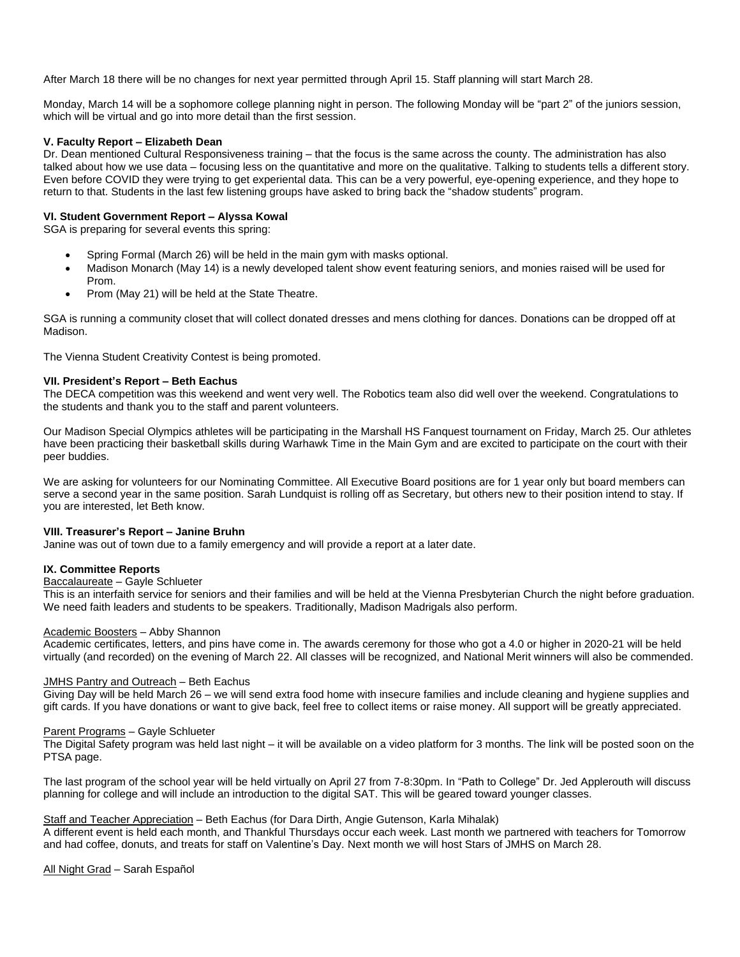After March 18 there will be no changes for next year permitted through April 15. Staff planning will start March 28.

Monday, March 14 will be a sophomore college planning night in person. The following Monday will be "part 2" of the juniors session, which will be virtual and go into more detail than the first session.

# **V. Faculty Report – Elizabeth Dean**

Dr. Dean mentioned Cultural Responsiveness training – that the focus is the same across the county. The administration has also talked about how we use data – focusing less on the quantitative and more on the qualitative. Talking to students tells a different story. Even before COVID they were trying to get experiental data. This can be a very powerful, eye-opening experience, and they hope to return to that. Students in the last few listening groups have asked to bring back the "shadow students" program.

# **VI. Student Government Report – Alyssa Kowal**

SGA is preparing for several events this spring:

- Spring Formal (March 26) will be held in the main gym with masks optional.
- Madison Monarch (May 14) is a newly developed talent show event featuring seniors, and monies raised will be used for Prom.
- Prom (May 21) will be held at the State Theatre.

SGA is running a community closet that will collect donated dresses and mens clothing for dances. Donations can be dropped off at Madison.

The Vienna Student Creativity Contest is being promoted.

## **VII. President's Report – Beth Eachus**

The DECA competition was this weekend and went very well. The Robotics team also did well over the weekend. Congratulations to the students and thank you to the staff and parent volunteers.

Our Madison Special Olympics athletes will be participating in the Marshall HS Fanquest tournament on Friday, March 25. Our athletes have been practicing their basketball skills during Warhawk Time in the Main Gym and are excited to participate on the court with their peer buddies.

We are asking for volunteers for our Nominating Committee. All Executive Board positions are for 1 year only but board members can serve a second year in the same position. Sarah Lundquist is rolling off as Secretary, but others new to their position intend to stay. If you are interested, let Beth know.

### **VIII. Treasurer's Report – Janine Bruhn**

Janine was out of town due to a family emergency and will provide a report at a later date.

# **IX. Committee Reports**

### Baccalaureate – Gayle Schlueter

This is an interfaith service for seniors and their families and will be held at the Vienna Presbyterian Church the night before graduation. We need faith leaders and students to be speakers. Traditionally, Madison Madrigals also perform.

## Academic Boosters – Abby Shannon

Academic certificates, letters, and pins have come in. The awards ceremony for those who got a 4.0 or higher in 2020-21 will be held virtually (and recorded) on the evening of March 22. All classes will be recognized, and National Merit winners will also be commended.

### JMHS Pantry and Outreach – Beth Eachus

Giving Day will be held March 26 – we will send extra food home with insecure families and include cleaning and hygiene supplies and gift cards. If you have donations or want to give back, feel free to collect items or raise money. All support will be greatly appreciated.

### Parent Programs – Gayle Schlueter

The Digital Safety program was held last night – it will be available on a video platform for 3 months. The link will be posted soon on the PTSA page.

The last program of the school year will be held virtually on April 27 from 7-8:30pm. In "Path to College" Dr. Jed Applerouth will discuss planning for college and will include an introduction to the digital SAT. This will be geared toward younger classes.

# Staff and Teacher Appreciation – Beth Eachus (for Dara Dirth, Angie Gutenson, Karla Mihalak)

A different event is held each month, and Thankful Thursdays occur each week. Last month we partnered with teachers for Tomorrow and had coffee, donuts, and treats for staff on Valentine's Day. Next month we will host Stars of JMHS on March 28.

All Night Grad – Sarah Español